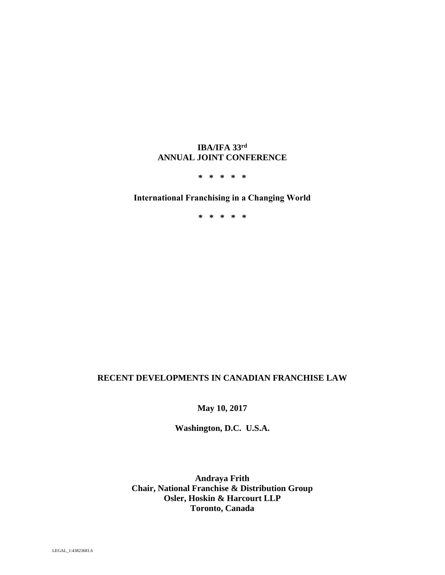# **IBA/IFA 33rd ANNUAL JOINT CONFERENCE**

**\* \* \* \* \*** 

# **International Franchising in a Changing World**

**\* \* \* \* \*** 

# **RECENT DEVELOPMENTS IN CANADIAN FRANCHISE LAW**

**May 10, 2017** 

**Washington, D.C. U.S.A.** 

**Andraya Frith Chair, National Franchise & Distribution Group Osler, Hoskin & Harcourt LLP Toronto, Canada**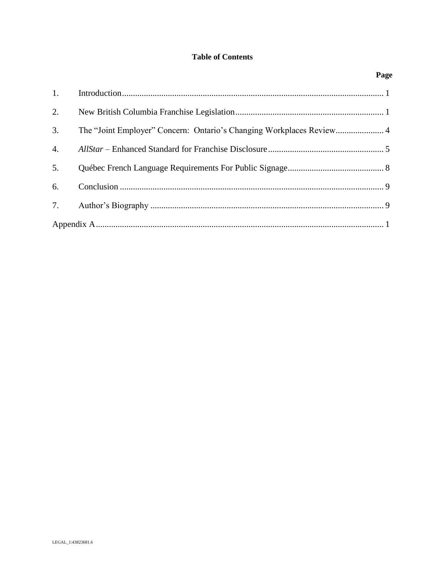# **Table of Contents**

|                  | Page |
|------------------|------|
| 1.               |      |
| 2.               |      |
| 3.               |      |
| $\overline{4}$ . |      |
| 5.               |      |
| 6.               |      |
|                  |      |
|                  |      |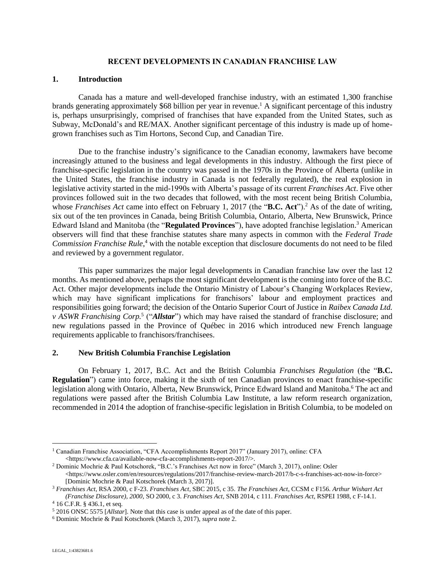#### <span id="page-2-2"></span>**RECENT DEVELOPMENTS IN CANADIAN FRANCHISE LAW**

#### <span id="page-2-0"></span>**1. Introduction**

Canada has a mature and well-developed franchise industry, with an estimated 1,300 franchise brands generating approximately \$68 billion per year in revenue. <sup>1</sup> A significant percentage of this industry is, perhaps unsurprisingly, comprised of franchises that have expanded from the United States, such as Subway, McDonald's and RE/MAX. Another significant percentage of this industry is made up of homegrown franchises such as Tim Hortons, Second Cup, and Canadian Tire.

Due to the franchise industry's significance to the Canadian economy, lawmakers have become increasingly attuned to the business and legal developments in this industry. Although the first piece of franchise-specific legislation in the country was passed in the 1970s in the Province of Alberta (unlike in the United States, the franchise industry in Canada is not federally regulated), the real explosion in legislative activity started in the mid-1990s with Alberta's passage of its current *Franchises Act*. Five other provinces followed suit in the two decades that followed, with the most recent being British Columbia, whose *Franchises Act* came into effect on February 1, 2017 (the "**B.C. Act**").<sup>2</sup> As of the date of writing, six out of the ten provinces in Canada, being British Columbia, Ontario, Alberta, New Brunswick, Prince Edward Island and Manitoba (the "**Regulated Provinces**"), have adopted franchise legislation. <sup>3</sup> American observers will find that these franchise statutes share many aspects in common with the *Federal Trade Commission Franchise Rule*, <sup>4</sup> with the notable exception that disclosure documents do not need to be filed and reviewed by a government regulator.

This paper summarizes the major legal developments in Canadian franchise law over the last 12 months. As mentioned above, perhaps the most significant development is the coming into force of the B.C. Act. Other major developments include the Ontario Ministry of Labour's Changing Workplaces Review, which may have significant implications for franchisors' labour and employment practices and responsibilities going forward; the decision of the Ontario Superior Court of Justice in *Raibex Canada Ltd. v ASWR Franchising Corp.*<sup>5</sup> ("*Allstar*") which may have raised the standard of franchise disclosure; and new regulations passed in the Province of Québec in 2016 which introduced new French language requirements applicable to franchisors/franchisees.

#### <span id="page-2-1"></span>**2. New British Columbia Franchise Legislation**

On February 1, 2017, B.C. Act and the British Columbia *Franchises Regulation* (the "**B.C. Regulation**") came into force, making it the sixth of ten Canadian provinces to enact franchise-specific legislation along with Ontario, Alberta, New Brunswick, Prince Edward Island and Manitoba.<sup>6</sup> The act and regulations were passed after the British Columbia Law Institute, a law reform research organization, recommended in 2014 the adoption of franchise-specific legislation in British Columbia, to be modeled on

<sup>1</sup> Canadian Franchise Association, "CFA Accomplishments Report 2017" (January 2017), online: CFA <https://www.cfa.ca/available-now-cfa-accomplishments-report-2017/>.

<sup>2</sup> Dominic Mochrie & Paul Kotschorek, "B.C.'s Franchises Act now in force" (March 3, 2017), online: Osler  $\langle$ https://www.osler.com/en/resources/regulations/2017/franchise-review-march-2017/b-c-s-franchises-act-now-in-force> [Dominic Mochrie & Paul Kotschorek (March 3, 2017)].

<sup>3</sup> *Franchises Act*, RSA 2000, c F-23. *Franchises Act*, SBC 2015, c 35. *The Franchises Act*, CCSM c F156. *Arthur Wishart Act (Franchise Disclosure), 2000*, SO 2000, c 3. *Franchises Act*, SNB 2014, c 111. *Franchises Act*, RSPEI 1988, c F-14.1.

<sup>4</sup> 16 C.F.R. § 436.1, et seq.

<sup>5</sup> 2016 ONSC 5575 [*Allstar*]. Note that this case is under appeal as of the date of this paper.

<sup>6</sup> Dominic Mochrie & Paul Kotschorek (March 3, 2017), *supra* not[e 2.](#page-2-2)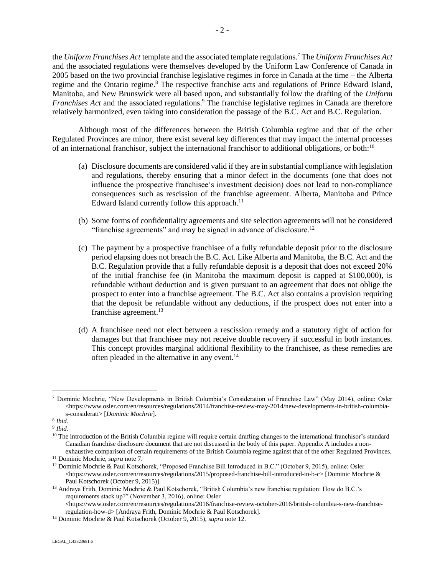<span id="page-3-0"></span>the *Uniform Franchises Act* template and the associated template regulations. <sup>7</sup> The *Uniform Franchises Act* and the associated regulations were themselves developed by the Uniform Law Conference of Canada in 2005 based on the two provincial franchise legislative regimes in force in Canada at the time – the Alberta regime and the Ontario regime.<sup>8</sup> The respective franchise acts and regulations of Prince Edward Island, Manitoba, and New Brunswick were all based upon, and substantially follow the drafting of the *Uniform Franchises Act* and the associated regulations. <sup>9</sup> The franchise legislative regimes in Canada are therefore relatively harmonized, even taking into consideration the passage of the B.C. Act and B.C. Regulation.

Although most of the differences between the British Columbia regime and that of the other Regulated Provinces are minor, there exist several key differences that may impact the internal processes of an international franchisor, subject the international franchisor to additional obligations, or both:<sup>10</sup>

- (a) Disclosure documents are considered valid if they are in substantial compliance with legislation and regulations, thereby ensuring that a minor defect in the documents (one that does not influence the prospective franchisee's investment decision) does not lead to non-compliance consequences such as rescission of the franchise agreement. Alberta, Manitoba and Prince Edward Island currently follow this approach.<sup>11</sup>
- <span id="page-3-1"></span>(b) Some forms of confidentiality agreements and site selection agreements will not be considered "franchise agreements" and may be signed in advance of disclosure.<sup>12</sup>
- (c) The payment by a prospective franchisee of a fully refundable deposit prior to the disclosure period elapsing does not breach the B.C. Act. Like Alberta and Manitoba, the B.C. Act and the B.C. Regulation provide that a fully refundable deposit is a deposit that does not exceed 20% of the initial franchise fee (in Manitoba the maximum deposit is capped at \$100,000), is refundable without deduction and is given pursuant to an agreement that does not oblige the prospect to enter into a franchise agreement. The B.C. Act also contains a provision requiring that the deposit be refundable without any deductions, if the prospect does not enter into a franchise agreement. 13
- <span id="page-3-2"></span>(d) A franchisee need not elect between a rescission remedy and a statutory right of action for damages but that franchisee may not receive double recovery if successful in both instances. This concept provides marginal additional flexibility to the franchisee, as these remedies are often pleaded in the alternative in any event.<sup>14</sup>

<sup>7</sup> Dominic Mochrie, "New Developments in British Columbia's Consideration of Franchise Law" (May 2014), online: Osler  $\langle$ https://www.osler.com/en/resources/regulations/2014/franchise-review-may-2014/new-developments-in-british-columbias-considerati> [*Dominic Mochrie*].

<sup>8</sup> *Ibid.*

<sup>9</sup> *Ibid.*

<sup>&</sup>lt;sup>10</sup> The introduction of the British Columbia regime will require certain drafting changes to the international franchisor's standard Canadian franchise disclosure document that are not discussed in the body of this paper. Appendix A includes a nonexhaustive comparison of certain requirements of the British Columbia regime against that of the other Regulated Provinces.

<sup>11</sup> Dominic Mochrie, *supra* not[e 7.](#page-3-0)

<sup>&</sup>lt;sup>12</sup> Dominic Mochrie & Paul Kotschorek, "Proposed Franchise Bill Introduced in B.C." (October 9, 2015), online: Osler <https://www.osler.com/en/resources/regulations/2015/proposed-franchise-bill-introduced-in-b-c> [Dominic Mochrie & Paul Kotschorek (October 9, 2015)].

<sup>13</sup> Andraya Frith, Dominic Mochrie & Paul Kotschorek, "British Columbia's new franchise regulation: How do B.C.'s requirements stack up?" (November 3, 2016), online: Osler  $\lt$ https://www.osler.com/en/resources/regulations/2016/franchise-review-october-2016/british-columbia-s-new-franchise-

regulation-how-d> [Andraya Frith, Dominic Mochrie & Paul Kotschorek]. <sup>14</sup> Dominic Mochrie & Paul Kotschorek (October 9, 2015), *supra* not[e 12.](#page-3-1)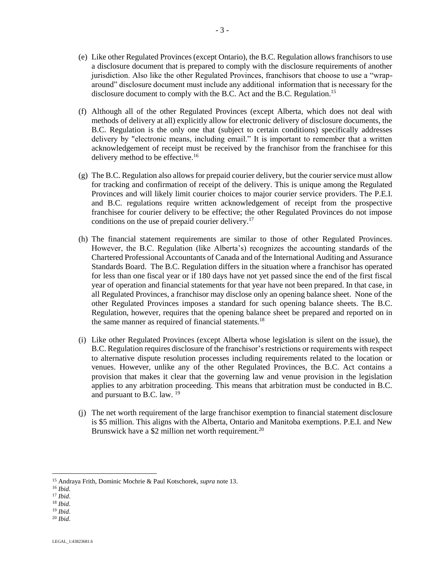- (e) Like other Regulated Provinces (except Ontario), the B.C. Regulation allows franchisors to use a disclosure document that is prepared to comply with the disclosure requirements of another jurisdiction. Also like the other Regulated Provinces, franchisors that choose to use a "wraparound" disclosure document must include any additional information that is necessary for the disclosure document to comply with the B.C. Act and the B.C. Regulation.<sup>15</sup>
- (f) Although all of the other Regulated Provinces (except Alberta, which does not deal with methods of delivery at all) explicitly allow for electronic delivery of disclosure documents, the B.C. Regulation is the only one that (subject to certain conditions) specifically addresses delivery by "electronic means, including email." It is important to remember that a written acknowledgement of receipt must be received by the franchisor from the franchisee for this delivery method to be effective.<sup>16</sup>
- (g) The B.C. Regulation also allows for prepaid courier delivery, but the courier service must allow for tracking and confirmation of receipt of the delivery. This is unique among the Regulated Provinces and will likely limit courier choices to major courier service providers. The P.E.I. and B.C. regulations require written acknowledgement of receipt from the prospective franchisee for courier delivery to be effective; the other Regulated Provinces do not impose conditions on the use of prepaid courier delivery.<sup>17</sup>
- (h) The financial statement requirements are similar to those of other Regulated Provinces. However, the B.C. Regulation (like Alberta's) recognizes the accounting standards of the Chartered Professional Accountants of Canada and of the International Auditing and Assurance Standards Board. The B.C. Regulation differs in the situation where a franchisor has operated for less than one fiscal year or if 180 days have not yet passed since the end of the first fiscal year of operation and financial statements for that year have not been prepared. In that case, in all Regulated Provinces, a franchisor may disclose only an opening balance sheet. None of the other Regulated Provinces imposes a standard for such opening balance sheets. The B.C. Regulation, however, requires that the opening balance sheet be prepared and reported on in the same manner as required of financial statements.<sup>18</sup>
- (i) Like other Regulated Provinces (except Alberta whose legislation is silent on the issue), the B.C. Regulation requires disclosure of the franchisor's restrictions or requirements with respect to alternative dispute resolution processes including requirements related to the location or venues. However, unlike any of the other Regulated Provinces, the B.C. Act contains a provision that makes it clear that the governing law and venue provision in the legislation applies to any arbitration proceeding. This means that arbitration must be conducted in B.C. and pursuant to B.C. law.  $^{19}$
- (j) The net worth requirement of the large franchisor exemption to financial statement disclosure is \$5 million. This aligns with the Alberta, Ontario and Manitoba exemptions. P.E.I. and New Brunswick have a \$2 million net worth requirement.<sup>20</sup>

 $\overline{a}$ 

<sup>20</sup> *Ibid*.

<sup>15</sup> Andraya Frith, Dominic Mochrie & Paul Kotschorek, *supra* note [13.](#page-3-2)

<sup>16</sup> *Ibid*.

<sup>17</sup> *Ibid*.

<sup>18</sup> *Ibid*.

<sup>19</sup> *Ibid*.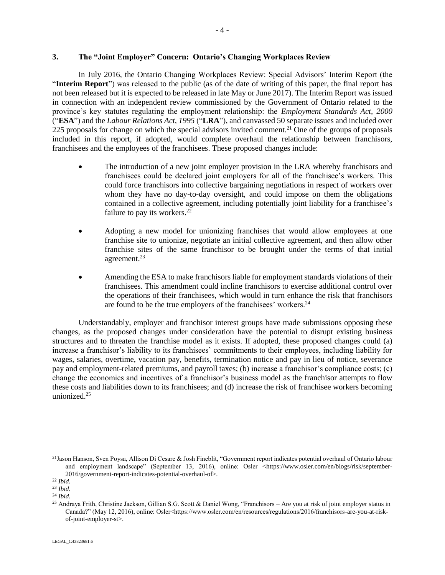### <span id="page-5-0"></span>**3. The "Joint Employer" Concern: Ontario's Changing Workplaces Review**

In July 2016, the Ontario Changing Workplaces Review: Special Advisors' Interim Report (the "**Interim Report**") was released to the public (as of the date of writing of this paper, the final report has not been released but it is expected to be released in late May or June 2017). The Interim Report was issued in connection with an independent review commissioned by the Government of Ontario related to the province's key statutes regulating the employment relationship: the *Employment Standards Act, 2000* ("**ESA**") and the *Labour Relations Act, 1995* ("**LRA**"), and canvassed 50 separate issues and included over 225 proposals for change on which the special advisors invited comment.<sup>21</sup> One of the groups of proposals included in this report, if adopted, would complete overhaul the relationship between franchisors, franchisees and the employees of the franchisees. These proposed changes include:

- The introduction of a new joint employer provision in the LRA whereby franchisors and franchisees could be declared joint employers for all of the franchisee's workers. This could force franchisors into collective bargaining negotiations in respect of workers over whom they have no day-to-day oversight, and could impose on them the obligations contained in a collective agreement, including potentially joint liability for a franchisee's failure to pay its workers. $^{22}$
- Adopting a new model for unionizing franchises that would allow employees at one franchise site to unionize, negotiate an initial collective agreement, and then allow other franchise sites of the same franchisor to be brought under the terms of that initial agreement.<sup>23</sup>
- Amending the ESA to make franchisors liable for employment standards violations of their franchisees. This amendment could incline franchisors to exercise additional control over the operations of their franchisees, which would in turn enhance the risk that franchisors are found to be the true employers of the franchisees' workers. $24$

Understandably, employer and franchisor interest groups have made submissions opposing these changes, as the proposed changes under consideration have the potential to disrupt existing business structures and to threaten the franchise model as it exists. If adopted, these proposed changes could (a) increase a franchisor's liability to its franchisees' commitments to their employees, including liability for wages, salaries, overtime, vacation pay, benefits, termination notice and pay in lieu of notice, severance pay and employment-related premiums, and payroll taxes; (b) increase a franchisor's compliance costs; (c) change the economics and incentives of a franchisor's business model as the franchisor attempts to flow these costs and liabilities down to its franchisees; and (d) increase the risk of franchisee workers becoming unionized.<sup>25</sup>

<sup>21</sup>Jason Hanson, Sven Poysa, Allison Di Cesare & Josh Fineblit, "Government report indicates potential overhaul of Ontario labour and employment landscape" (September 13, 2016), online: Osler <https://www.osler.com/en/blogs/risk/september-2016/government-report-indicates-potential-overhaul-of>.

<sup>22</sup> *Ibid.*

<sup>23</sup> *Ibid.*

<sup>24</sup> *Ibid.*

<sup>&</sup>lt;sup>25</sup> Andraya Frith, Christine Jackson, Gillian S.G. Scott & Daniel Wong, "Franchisors – Are you at risk of joint employer status in Canada?" (May 12, 2016), online: Osler<https://www.osler.com/en/resources/regulations/2016/franchisors-are-you-at-riskof-joint-employer-st>.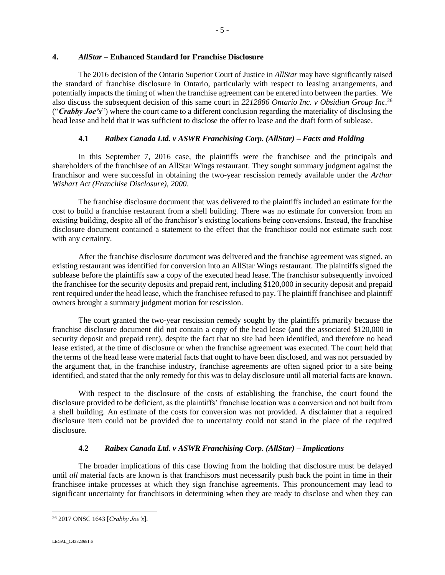## <span id="page-6-0"></span>**4.** *AllStar –* **Enhanced Standard for Franchise Disclosure**

The 2016 decision of the Ontario Superior Court of Justice in *AllStar* may have significantly raised the standard of franchise disclosure in Ontario, particularly with respect to leasing arrangements, and potentially impacts the timing of when the franchise agreement can be entered into between the parties. We also discuss the subsequent decision of this same court in *2212886 Ontario Inc. v Obsidian Group Inc.*<sup>26</sup> ("*Crabby Joe's*") where the court came to a different conclusion regarding the materiality of disclosing the head lease and held that it was sufficient to disclose the offer to lease and the draft form of sublease.

# **4.1** *Raibex Canada Ltd. v ASWR Franchising Corp. (AllStar) – Facts and Holding*

In this September 7, 2016 case, the plaintiffs were the franchisee and the principals and shareholders of the franchisee of an AllStar Wings restaurant. They sought summary judgment against the franchisor and were successful in obtaining the two-year rescission remedy available under the *Arthur Wishart Act (Franchise Disclosure), 2000*.

The franchise disclosure document that was delivered to the plaintiffs included an estimate for the cost to build a franchise restaurant from a shell building. There was no estimate for conversion from an existing building, despite all of the franchisor's existing locations being conversions. Instead, the franchise disclosure document contained a statement to the effect that the franchisor could not estimate such cost with any certainty.

After the franchise disclosure document was delivered and the franchise agreement was signed, an existing restaurant was identified for conversion into an AllStar Wings restaurant. The plaintiffs signed the sublease before the plaintiffs saw a copy of the executed head lease. The franchisor subsequently invoiced the franchisee for the security deposits and prepaid rent, including \$120,000 in security deposit and prepaid rent required under the head lease, which the franchisee refused to pay. The plaintiff franchisee and plaintiff owners brought a summary judgment motion for rescission.

The court granted the two-year rescission remedy sought by the plaintiffs primarily because the franchise disclosure document did not contain a copy of the head lease (and the associated \$120,000 in security deposit and prepaid rent), despite the fact that no site had been identified, and therefore no head lease existed, at the time of disclosure or when the franchise agreement was executed. The court held that the terms of the head lease were material facts that ought to have been disclosed, and was not persuaded by the argument that, in the franchise industry, franchise agreements are often signed prior to a site being identified, and stated that the only remedy for this was to delay disclosure until all material facts are known.

With respect to the disclosure of the costs of establishing the franchise, the court found the disclosure provided to be deficient, as the plaintiffs' franchise location was a conversion and not built from a shell building. An estimate of the costs for conversion was not provided. A disclaimer that a required disclosure item could not be provided due to uncertainty could not stand in the place of the required disclosure.

# **4.2** *Raibex Canada Ltd. v ASWR Franchising Corp. (AllStar) – Implications*

The broader implications of this case flowing from the holding that disclosure must be delayed until *all* material facts are known is that franchisors must necessarily push back the point in time in their franchisee intake processes at which they sign franchise agreements. This pronouncement may lead to significant uncertainty for franchisors in determining when they are ready to disclose and when they can

<sup>26</sup> 2017 ONSC 1643 [*Crabby Joe's*].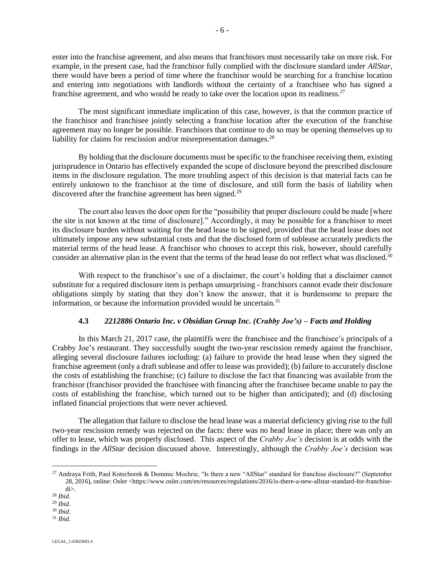enter into the franchise agreement, and also means that franchisors must necessarily take on more risk. For example, in the present case, had the franchisor fully complied with the disclosure standard under *AllStar*, there would have been a period of time where the franchisor would be searching for a franchise location and entering into negotiations with landlords without the certainty of a franchisee who has signed a franchise agreement, and who would be ready to take over the location upon its readiness.<sup>27</sup>

The most significant immediate implication of this case, however, is that the common practice of the franchisor and franchisee jointly selecting a franchise location after the execution of the franchise agreement may no longer be possible. Franchisors that continue to do so may be opening themselves up to liability for claims for rescission and/or misrepresentation damages.<sup>28</sup>

By holding that the disclosure documents must be specific to the franchisee receiving them, existing jurisprudence in Ontario has effectively expanded the scope of disclosure beyond the prescribed disclosure items in the disclosure regulation. The more troubling aspect of this decision is that material facts can be entirely unknown to the franchisor at the time of disclosure, and still form the basis of liability when discovered after the franchise agreement has been signed.<sup>29</sup>

The court also leaves the door open for the "possibility that proper disclosure could be made [where the site is not known at the time of disclosure]." Accordingly, it may be possible for a franchisor to meet its disclosure burden without waiting for the head lease to be signed, provided that the head lease does not ultimately impose any new substantial costs and that the disclosed form of sublease accurately predicts the material terms of the head lease. A franchisor who chooses to accept this risk, however, should carefully consider an alternative plan in the event that the terms of the head lease do not reflect what was disclosed.<sup>30</sup>

With respect to the franchisor's use of a disclaimer, the court's holding that a disclaimer cannot substitute for a required disclosure item is perhaps unsurprising - franchisors cannot evade their disclosure obligations simply by stating that they don't know the answer, that it is burdensome to prepare the information, or because the information provided would be uncertain.<sup>31</sup>

## **4.3** *2212886 Ontario Inc. v Obsidian Group Inc. (Crabby Joe's) – Facts and Holding*

In this March 21, 2017 case, the plaintiffs were the franchisee and the franchisee's principals of a Crabby Joe's restaurant. They successfully sought the two-year rescission remedy against the franchisor, alleging several disclosure failures including: (a) failure to provide the head lease when they signed the franchise agreement (only a draft sublease and offer to lease was provided); (b) failure to accurately disclose the costs of establishing the franchise; (c) failure to disclose the fact that financing was available from the franchisor (franchisor provided the franchisee with financing after the franchisee became unable to pay the costs of establishing the franchise, which turned out to be higher than anticipated); and (d) disclosing inflated financial projections that were never achieved.

The allegation that failure to disclose the head lease was a material deficiency giving rise to the full two-year rescission remedy was rejected on the facts: there was no head lease in place; there was only an offer to lease, which was properly disclosed. This aspect of the *Crabby Joe's* decision is at odds with the findings in the *AllStar* decision discussed above. Interestingly, although the *Crabby Joe's* decision was

<sup>&</sup>lt;sup>27</sup> Andraya Frith, Paul Kotschorek & Dominic Mochrie, "Is there a new "AllStar" standard for franchise disclosure?" (September 28, 2016), online: Osler <https://www.osler.com/en/resources/regulations/2016/is-there-a-new-allstar-standard-for-franchise-

di>.

<sup>28</sup> *Ibid*. <sup>29</sup> *Ibid*.

<sup>30</sup> *Ibid*.

<sup>31</sup> *Ibid*.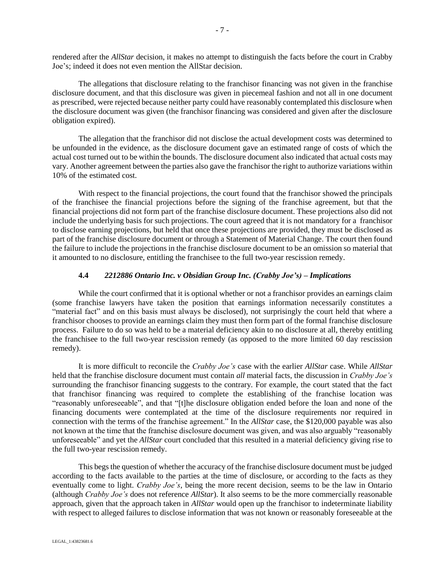rendered after the *AllStar* decision, it makes no attempt to distinguish the facts before the court in Crabby Joe's; indeed it does not even mention the AllStar decision.

The allegations that disclosure relating to the franchisor financing was not given in the franchise disclosure document, and that this disclosure was given in piecemeal fashion and not all in one document as prescribed, were rejected because neither party could have reasonably contemplated this disclosure when the disclosure document was given (the franchisor financing was considered and given after the disclosure obligation expired).

The allegation that the franchisor did not disclose the actual development costs was determined to be unfounded in the evidence, as the disclosure document gave an estimated range of costs of which the actual cost turned out to be within the bounds. The disclosure document also indicated that actual costs may vary. Another agreement between the parties also gave the franchisor the right to authorize variations within 10% of the estimated cost.

With respect to the financial projections, the court found that the franchisor showed the principals of the franchisee the financial projections before the signing of the franchise agreement, but that the financial projections did not form part of the franchise disclosure document. These projections also did not include the underlying basis for such projections. The court agreed that it is not mandatory for a franchisor to disclose earning projections, but held that once these projections are provided, they must be disclosed as part of the franchise disclosure document or through a Statement of Material Change. The court then found the failure to include the projections in the franchise disclosure document to be an omission so material that it amounted to no disclosure, entitling the franchisee to the full two-year rescission remedy.

## **4.4** *2212886 Ontario Inc. v Obsidian Group Inc. (Crabby Joe's) – Implications*

While the court confirmed that it is optional whether or not a franchisor provides an earnings claim (some franchise lawyers have taken the position that earnings information necessarily constitutes a "material fact" and on this basis must always be disclosed), not surprisingly the court held that where a franchisor chooses to provide an earnings claim they must then form part of the formal franchise disclosure process. Failure to do so was held to be a material deficiency akin to no disclosure at all, thereby entitling the franchisee to the full two-year rescission remedy (as opposed to the more limited 60 day rescission remedy).

It is more difficult to reconcile the *Crabby Joe's* case with the earlier *AllStar* case. While *AllStar*  held that the franchise disclosure document must contain *all* material facts, the discussion in *Crabby Joe's*  surrounding the franchisor financing suggests to the contrary. For example, the court stated that the fact that franchisor financing was required to complete the establishing of the franchise location was "reasonably unforeseeable", and that "[t]he disclosure obligation ended before the loan and none of the financing documents were contemplated at the time of the disclosure requirements nor required in connection with the terms of the franchise agreement." In the *AllStar* case, the \$120,000 payable was also not known at the time that the franchise disclosure document was given, and was also arguably "reasonably unforeseeable" and yet the *AllStar* court concluded that this resulted in a material deficiency giving rise to the full two-year rescission remedy.

This begs the question of whether the accuracy of the franchise disclosure document must be judged according to the facts available to the parties at the time of disclosure, or according to the facts as they eventually come to light. *Crabby Joe's*, being the more recent decision, seems to be the law in Ontario (although *Crabby Joe's* does not reference *AllStar*). It also seems to be the more commercially reasonable approach, given that the approach taken in *AllStar* would open up the franchisor to indeterminate liability with respect to alleged failures to disclose information that was not known or reasonably foreseeable at the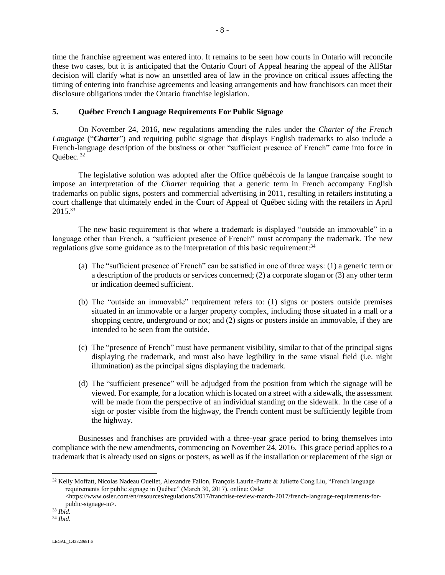time the franchise agreement was entered into. It remains to be seen how courts in Ontario will reconcile these two cases, but it is anticipated that the Ontario Court of Appeal hearing the appeal of the AllStar decision will clarify what is now an unsettled area of law in the province on critical issues affecting the timing of entering into franchise agreements and leasing arrangements and how franchisors can meet their disclosure obligations under the Ontario franchise legislation.

## <span id="page-9-0"></span>**5. Québec French Language Requirements For Public Signage**

On November 24, 2016, new regulations amending the rules under the *Charter of the French Language* ("*Charter*") and requiring public signage that displays English trademarks to also include a French-language description of the business or other "sufficient presence of French" came into force in Québec. 32

The legislative solution was adopted after the Office québécois de la langue française sought to impose an interpretation of the *Charter* requiring that a generic term in French accompany English trademarks on public signs, posters and commercial advertising in 2011, resulting in retailers instituting a court challenge that ultimately ended in the Court of Appeal of Québec siding with the retailers in April 2015.<sup>33</sup>

The new basic requirement is that where a trademark is displayed "outside an immovable" in a language other than French, a "sufficient presence of French" must accompany the trademark. The new regulations give some guidance as to the interpretation of this basic requirement:<sup>34</sup>

- (a) The "sufficient presence of French" can be satisfied in one of three ways: (1) a generic term or a description of the products or services concerned; (2) a corporate slogan or (3) any other term or indication deemed sufficient.
- (b) The "outside an immovable" requirement refers to: (1) signs or posters outside premises situated in an immovable or a larger property complex, including those situated in a mall or a shopping centre, underground or not; and (2) signs or posters inside an immovable, if they are intended to be seen from the outside.
- (c) The "presence of French" must have permanent visibility, similar to that of the principal signs displaying the trademark, and must also have legibility in the same visual field (i.e. night illumination) as the principal signs displaying the trademark.
- (d) The "sufficient presence" will be adjudged from the position from which the signage will be viewed. For example, for a location which is located on a street with a sidewalk, the assessment will be made from the perspective of an individual standing on the sidewalk. In the case of a sign or poster visible from the highway, the French content must be sufficiently legible from the highway.

Businesses and franchises are provided with a three-year grace period to bring themselves into compliance with the new amendments, commencing on November 24, 2016. This grace period applies to a trademark that is already used on signs or posters, as well as if the installation or replacement of the sign or

<sup>32</sup> Kelly Moffatt, Nicolas Nadeau Ouellet, Alexandre Fallon, François Laurin-Pratte & Juliette Cong Liu, "French language requirements for public signage in Québec" (March 30, 2017), online: Osler

<sup>&</sup>lt;https://www.osler.com/en/resources/regulations/2017/franchise-review-march-2017/french-language-requirements-forpublic-signage-in>.

<sup>33</sup> *Ibid*.

<sup>34</sup> *Ibid*.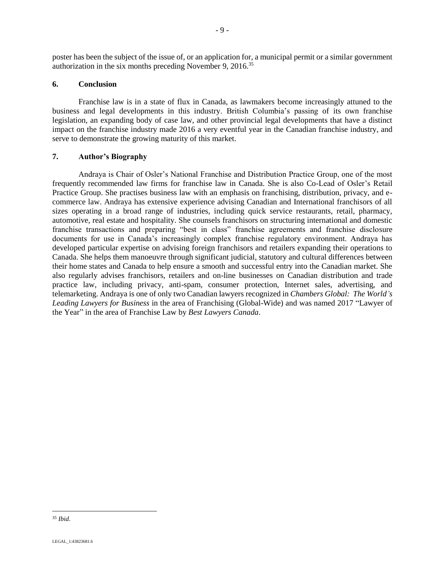poster has been the subject of the issue of, or an application for, a municipal permit or a similar government authorization in the six months preceding November 9, 2016.<sup>35</sup>

# <span id="page-10-0"></span>**6. Conclusion**

Franchise law is in a state of flux in Canada, as lawmakers become increasingly attuned to the business and legal developments in this industry. British Columbia's passing of its own franchise legislation, an expanding body of case law, and other provincial legal developments that have a distinct impact on the franchise industry made 2016 a very eventful year in the Canadian franchise industry, and serve to demonstrate the growing maturity of this market.

## <span id="page-10-1"></span>**7. Author's Biography**

Andraya is Chair of Osler's National Franchise and Distribution Practice Group, one of the most frequently recommended law firms for franchise law in Canada. She is also Co-Lead of Osler's Retail Practice Group. She practises business law with an emphasis on franchising, distribution, privacy, and ecommerce law. Andraya has extensive experience advising Canadian and International franchisors of all sizes operating in a broad range of industries, including quick service restaurants, retail, pharmacy, automotive, real estate and hospitality. She counsels franchisors on structuring international and domestic franchise transactions and preparing "best in class" franchise agreements and franchise disclosure documents for use in Canada's increasingly complex franchise regulatory environment. Andraya has developed particular expertise on advising foreign franchisors and retailers expanding their operations to Canada. She helps them manoeuvre through significant judicial, statutory and cultural differences between their home states and Canada to help ensure a smooth and successful entry into the Canadian market. She also regularly advises franchisors, retailers and on-line businesses on Canadian distribution and trade practice law, including privacy, anti-spam, consumer protection, Internet sales, advertising, and telemarketing. Andraya is one of only two Canadian lawyers recognized in *Chambers Global: The World's Leading Lawyers for Business* in the area of Franchising (Global-Wide) and was named 2017 "Lawyer of the Year" in the area of Franchise Law by *Best Lawyers Canada*.

<sup>35</sup> *Ibid*.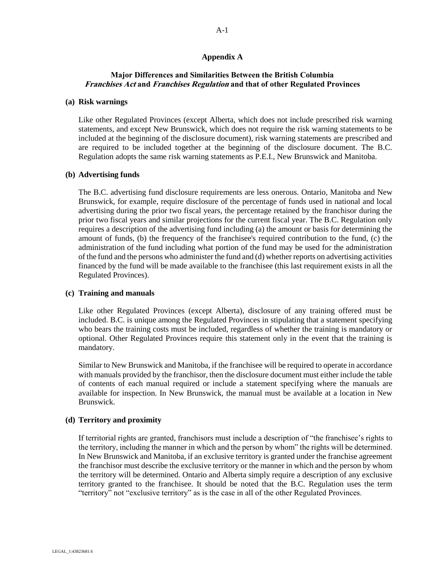## **Appendix A**

## <span id="page-11-0"></span>**Major Differences and Similarities Between the British Columbia Franchises Act and Franchises Regulation and that of other Regulated Provinces**

#### **(a) Risk warnings**

Like other Regulated Provinces (except Alberta, which does not include prescribed risk warning statements, and except New Brunswick, which does not require the risk warning statements to be included at the beginning of the disclosure document), risk warning statements are prescribed and are required to be included together at the beginning of the disclosure document. The B.C. Regulation adopts the same risk warning statements as P.E.I., New Brunswick and Manitoba.

#### **(b) Advertising funds**

The B.C. advertising fund disclosure requirements are less onerous. Ontario, Manitoba and New Brunswick, for example, require disclosure of the percentage of funds used in national and local advertising during the prior two fiscal years, the percentage retained by the franchisor during the prior two fiscal years and similar projections for the current fiscal year. The B.C. Regulation only requires a description of the advertising fund including (a) the amount or basis for determining the amount of funds, (b) the frequency of the franchisee's required contribution to the fund, (c) the administration of the fund including what portion of the fund may be used for the administration of the fund and the persons who administer the fund and (d) whether reports on advertising activities financed by the fund will be made available to the franchisee (this last requirement exists in all the Regulated Provinces).

### **(c) Training and manuals**

Like other Regulated Provinces (except Alberta), disclosure of any training offered must be included. B.C. is unique among the Regulated Provinces in stipulating that a statement specifying who bears the training costs must be included, regardless of whether the training is mandatory or optional. Other Regulated Provinces require this statement only in the event that the training is mandatory.

Similar to New Brunswick and Manitoba, if the franchisee will be required to operate in accordance with manuals provided by the franchisor, then the disclosure document must either include the table of contents of each manual required or include a statement specifying where the manuals are available for inspection. In New Brunswick, the manual must be available at a location in New Brunswick.

### **(d) Territory and proximity**

If territorial rights are granted, franchisors must include a description of "the franchisee's rights to the territory, including the manner in which and the person by whom" the rights will be determined. In New Brunswick and Manitoba, if an exclusive territory is granted under the franchise agreement the franchisor must describe the exclusive territory or the manner in which and the person by whom the territory will be determined. Ontario and Alberta simply require a description of any exclusive territory granted to the franchisee. It should be noted that the B.C. Regulation uses the term "territory" not "exclusive territory" as is the case in all of the other Regulated Provinces.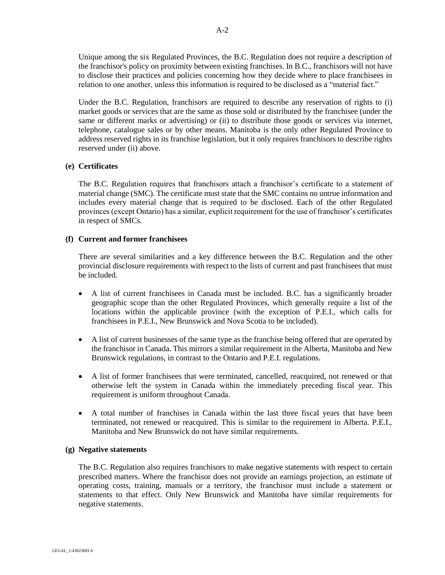Unique among the six Regulated Provinces, the B.C. Regulation does not require a description of the franchisor's policy on proximity between existing franchises. In B.C., franchisors will not have to disclose their practices and policies concerning how they decide where to place franchisees in relation to one another, unless this information is required to be disclosed as a "material fact."

Under the B.C. Regulation, franchisors are required to describe any reservation of rights to (i) market goods or services that are the same as those sold or distributed by the franchisee (under the same or different marks or advertising) or (ii) to distribute those goods or services via internet, telephone, catalogue sales or by other means. Manitoba is the only other Regulated Province to address reserved rights in its franchise legislation, but it only requires franchisors to describe rights reserved under (ii) above.

## **(e) Certificates**

The B.C. Regulation requires that franchisors attach a franchisor's certificate to a statement of material change (SMC). The certificate must state that the SMC contains no untrue information and includes every material change that is required to be disclosed. Each of the other Regulated provinces (except Ontario) has a similar, explicit requirement for the use of franchisor's certificates in respect of SMCs.

## **(f) Current and former franchisees**

There are several similarities and a key difference between the B.C. Regulation and the other provincial disclosure requirements with respect to the lists of current and past franchisees that must be included.

- A list of current franchisees in Canada must be included. B.C. has a significantly broader geographic scope than the other Regulated Provinces, which generally require a list of the locations within the applicable province (with the exception of P.E.I., which calls for franchisees in P.E.I., New Brunswick and Nova Scotia to be included).
- A list of current businesses of the same type as the franchise being offered that are operated by the franchisor in Canada. This mirrors a similar requirement in the Alberta, Manitoba and New Brunswick regulations, in contrast to the Ontario and P.E.I. regulations.
- A list of former franchisees that were terminated, cancelled, reacquired, not renewed or that otherwise left the system in Canada within the immediately preceding fiscal year. This requirement is uniform throughout Canada.
- A total number of franchises in Canada within the last three fiscal years that have been terminated, not renewed or reacquired. This is similar to the requirement in Alberta. P.E.I., Manitoba and New Brunswick do not have similar requirements.

### **(g) Negative statements**

The B.C. Regulation also requires franchisors to make negative statements with respect to certain prescribed matters. Where the franchisor does not provide an earnings projection, an estimate of operating costs, training, manuals or a territory, the franchisor must include a statement or statements to that effect. Only New Brunswick and Manitoba have similar requirements for negative statements.